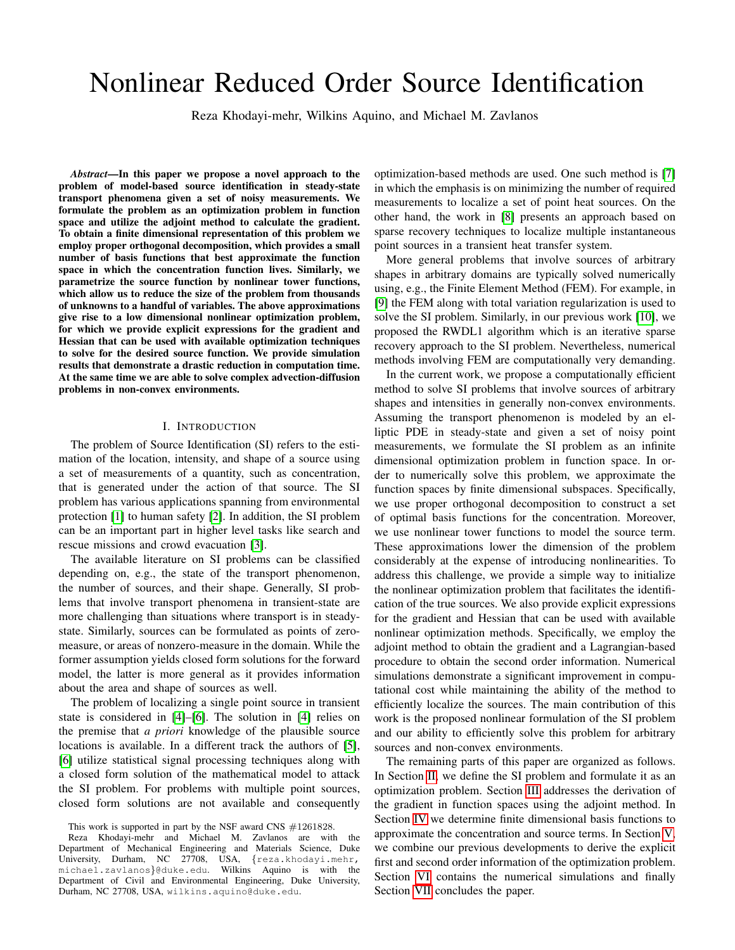# Nonlinear Reduced Order Source Identification

Reza Khodayi-mehr, Wilkins Aquino, and Michael M. Zavlanos

*Abstract*—In this paper we propose a novel approach to the problem of model-based source identification in steady-state transport phenomena given a set of noisy measurements. We formulate the problem as an optimization problem in function space and utilize the adjoint method to calculate the gradient. To obtain a finite dimensional representation of this problem we employ proper orthogonal decomposition, which provides a small number of basis functions that best approximate the function space in which the concentration function lives. Similarly, we parametrize the source function by nonlinear tower functions, which allow us to reduce the size of the problem from thousands of unknowns to a handful of variables. The above approximations give rise to a low dimensional nonlinear optimization problem, for which we provide explicit expressions for the gradient and Hessian that can be used with available optimization techniques to solve for the desired source function. We provide simulation results that demonstrate a drastic reduction in computation time. At the same time we are able to solve complex advection-diffusion problems in non-convex environments.

### I. INTRODUCTION

The problem of Source Identification (SI) refers to the estimation of the location, intensity, and shape of a source using a set of measurements of a quantity, such as concentration, that is generated under the action of that source. The SI problem has various applications spanning from environmental protection [\[1\]](#page-5-0) to human safety [\[2\]](#page-5-1). In addition, the SI problem can be an important part in higher level tasks like search and rescue missions and crowd evacuation [\[3\]](#page-5-2).

The available literature on SI problems can be classified depending on, e.g., the state of the transport phenomenon, the number of sources, and their shape. Generally, SI problems that involve transport phenomena in transient-state are more challenging than situations where transport is in steadystate. Similarly, sources can be formulated as points of zeromeasure, or areas of nonzero-measure in the domain. While the former assumption yields closed form solutions for the forward model, the latter is more general as it provides information about the area and shape of sources as well.

The problem of localizing a single point source in transient state is considered in [\[4\]](#page-5-3)–[\[6\]](#page-5-4). The solution in [\[4\]](#page-5-3) relies on the premise that *a priori* knowledge of the plausible source locations is available. In a different track the authors of [\[5\]](#page-5-5), [\[6\]](#page-5-4) utilize statistical signal processing techniques along with a closed form solution of the mathematical model to attack the SI problem. For problems with multiple point sources, closed form solutions are not available and consequently

optimization-based methods are used. One such method is [\[7\]](#page-5-6) in which the emphasis is on minimizing the number of required measurements to localize a set of point heat sources. On the other hand, the work in [\[8\]](#page-5-7) presents an approach based on sparse recovery techniques to localize multiple instantaneous point sources in a transient heat transfer system.

More general problems that involve sources of arbitrary shapes in arbitrary domains are typically solved numerically using, e.g., the Finite Element Method (FEM). For example, in [\[9\]](#page-5-8) the FEM along with total variation regularization is used to solve the SI problem. Similarly, in our previous work [\[10\]](#page-5-9), we proposed the RWDL1 algorithm which is an iterative sparse recovery approach to the SI problem. Nevertheless, numerical methods involving FEM are computationally very demanding.

In the current work, we propose a computationally efficient method to solve SI problems that involve sources of arbitrary shapes and intensities in generally non-convex environments. Assuming the transport phenomenon is modeled by an elliptic PDE in steady-state and given a set of noisy point measurements, we formulate the SI problem as an infinite dimensional optimization problem in function space. In order to numerically solve this problem, we approximate the function spaces by finite dimensional subspaces. Specifically, we use proper orthogonal decomposition to construct a set of optimal basis functions for the concentration. Moreover, we use nonlinear tower functions to model the source term. These approximations lower the dimension of the problem considerably at the expense of introducing nonlinearities. To address this challenge, we provide a simple way to initialize the nonlinear optimization problem that facilitates the identification of the true sources. We also provide explicit expressions for the gradient and Hessian that can be used with available nonlinear optimization methods. Specifically, we employ the adjoint method to obtain the gradient and a Lagrangian-based procedure to obtain the second order information. Numerical simulations demonstrate a significant improvement in computational cost while maintaining the ability of the method to efficiently localize the sources. The main contribution of this work is the proposed nonlinear formulation of the SI problem and our ability to efficiently solve this problem for arbitrary sources and non-convex environments.

The remaining parts of this paper are organized as follows. In Section [II,](#page-1-0) we define the SI problem and formulate it as an optimization problem. Section [III](#page-1-1) addresses the derivation of the gradient in function spaces using the adjoint method. In Section [IV](#page-2-0) we determine finite dimensional basis functions to approximate the concentration and source terms. In Section [V,](#page-3-0) we combine our previous developments to derive the explicit first and second order information of the optimization problem. Section [VI](#page-4-0) contains the numerical simulations and finally Section [VII](#page-5-10) concludes the paper.

This work is supported in part by the NSF award CNS  $\#1261828$ .

Reza Khodayi-mehr and Michael M. Zavlanos are with the Department of Mechanical Engineering and Materials Science, Duke University, Durham, NC 27708, USA, {reza.khodayi.mehr, michael.zavlanos}@duke.edu. Wilkins Aquino is with the Department of Civil and Environmental Engineering, Duke University, Durham, NC 27708, USA, wilkins.aquino@duke.edu.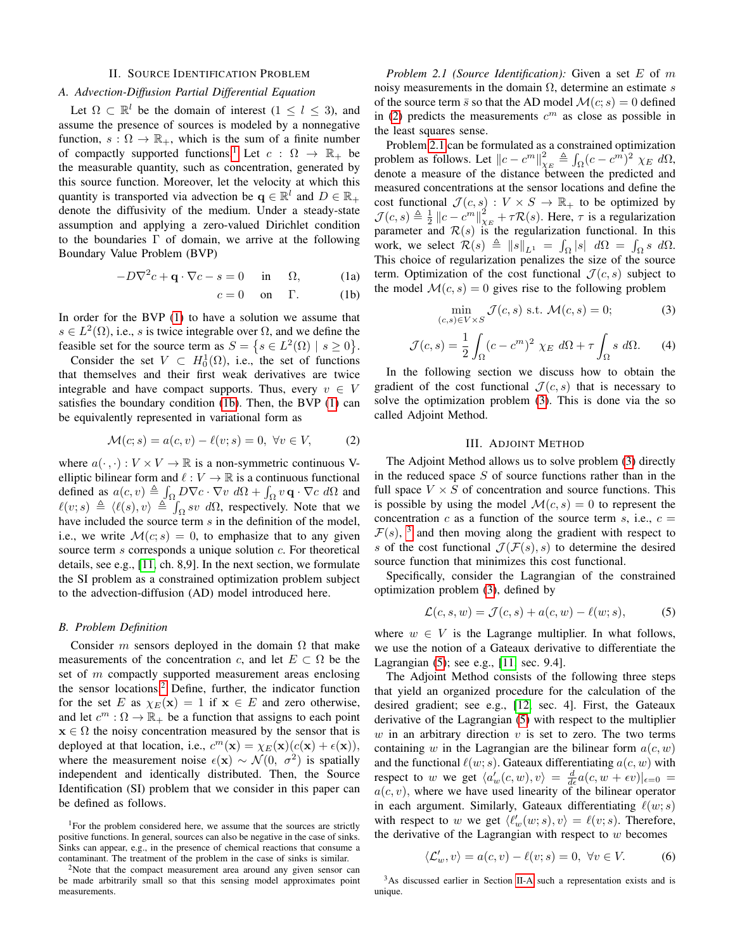# II. SOURCE IDENTIFICATION PROBLEM

# <span id="page-1-11"></span><span id="page-1-0"></span>*A. Advection-Diffusion Partial Differential Equation*

Let  $\Omega \subset \mathbb{R}^l$  be the domain of interest  $(1 \leq l \leq 3)$ , and assume the presence of sources is modeled by a nonnegative function,  $s : \Omega \to \mathbb{R}_+$ , which is the sum of a finite number of compactly supported functions.<sup>[1](#page-1-2)</sup> Let  $c : \Omega \rightarrow \mathbb{R}_+$  be the measurable quantity, such as concentration, generated by this source function. Moreover, let the velocity at which this quantity is transported via advection be  $q \in \mathbb{R}^l$  and  $D \in \mathbb{R}_+$ denote the diffusivity of the medium. Under a steady-state assumption and applying a zero-valued Dirichlet condition to the boundaries  $\Gamma$  of domain, we arrive at the following Boundary Value Problem (BVP)

<span id="page-1-4"></span>
$$
-D\nabla^2 c + \mathbf{q} \cdot \nabla c - s = 0 \quad \text{in} \quad \Omega, \tag{1a}
$$

<span id="page-1-3"></span>
$$
c = 0 \quad \text{on} \quad \Gamma. \tag{1b}
$$

In order for the BVP [\(1\)](#page-1-3) to have a solution we assume that  $s \in L^2(\Omega)$ , i.e., s is twice integrable over  $\Omega$ , and we define the feasible set for the source term as  $S = \{ s \in L^2(\Omega) \mid s \ge 0 \}.$ 

Consider the set  $V \subset H_0^1(\Omega)$ , i.e., the set of functions that themselves and their first weak derivatives are twice integrable and have compact supports. Thus, every  $v \in V$ satisfies the boundary condition [\(1b\)](#page-1-4). Then, the BVP [\(1\)](#page-1-3) can be equivalently represented in variational form as

<span id="page-1-6"></span>
$$
\mathcal{M}(c;s) = a(c,v) - \ell(v;s) = 0, \ \forall v \in V,
$$
 (2)

where  $a(\cdot, \cdot): V \times V \to \mathbb{R}$  is a non-symmetric continuous Velliptic bilinear form and  $\ell : V \to \mathbb{R}$  is a continuous functional defined as  $a(c, v) \triangleq \int_{\Omega} D \nabla c \cdot \nabla v \ d\Omega + \int_{\Omega} v \mathbf{q} \cdot \nabla c \ d\Omega$  and  $\ell(v; s) \triangleq \langle \ell(s), v \rangle \triangleq \int_{\Omega} s v \ d\Omega$ , respectively. Note that we have included the source term s in the definition of the model, i.e., we write  $\mathcal{M}(c; s) = 0$ , to emphasize that to any given source term s corresponds a unique solution c. For theoretical details, see e.g., [\[11,](#page-5-11) ch. 8,9]. In the next section, we formulate the SI problem as a constrained optimization problem subject to the advection-diffusion (AD) model introduced here.

# <span id="page-1-14"></span>*B. Problem Definition*

Consider m sensors deployed in the domain  $\Omega$  that make measurements of the concentration c, and let  $E \subset \Omega$  be the set of m compactly supported measurement areas enclosing the sensor locations.[2](#page-1-5) Define, further, the indicator function for the set E as  $\chi_E(\mathbf{x}) = 1$  if  $\mathbf{x} \in E$  and zero otherwise, and let  $c^m : \Omega \to \mathbb{R}_+$  be a function that assigns to each point  $x \in \Omega$  the noisy concentration measured by the sensor that is deployed at that location, i.e.,  $c^m(\mathbf{x}) = \chi_E(\mathbf{x}) (c(\mathbf{x}) + \epsilon(\mathbf{x})),$ where the measurement noise  $\epsilon(\mathbf{x}) \sim \mathcal{N}(0, \sigma^2)$  is spatially independent and identically distributed. Then, the Source Identification (SI) problem that we consider in this paper can be defined as follows.

*Problem 2.1 (Source Identification):* Given a set E of m noisy measurements in the domain  $\Omega$ , determine an estimate s of the source term  $\bar{s}$  so that the AD model  $\mathcal{M}(c; s) = 0$  defined in [\(2\)](#page-1-6) predicts the measurements  $c<sup>m</sup>$  as close as possible in the least squares sense.

Problem [2.1](#page-1-7) can be formulated as a constrained optimization problem as follows. Let  $||c - c^m||_{\chi_E}^2 \triangleq \int_{\Omega} (c - c^m)^2 \chi_E d\Omega$ , denote a measure of the distance between the predicted and measured concentrations at the sensor locations and define the cost functional  $\mathcal{J}(c, s) : V \times S \to \mathbb{R}_+$  to be optimized by  $\mathcal{J}(c, s) \triangleq \frac{1}{2} ||c - c^m||_{\chi_E}^2 + \tau \mathcal{R}(s)$ . Here,  $\tau$  is a regularization parameter and  $\mathcal{R}(s)$  is the regularization functional. In this work, we select  $\mathcal{R}(s) \triangleq ||s||_{L^1} = \int_{\Omega} |s| \ d\Omega = \int_{\Omega} s \ d\Omega$ . This choice of regularization penalizes the size of the source term. Optimization of the cost functional  $\mathcal{J}(c, s)$  subject to the model  $\mathcal{M}(c, s) = 0$  gives rise to the following problem

<span id="page-1-8"></span>
$$
\min_{(c,s)\in V\times S} \mathcal{J}(c,s) \text{ s.t. } \mathcal{M}(c,s) = 0;
$$
 (3)

<span id="page-1-13"></span>
$$
\mathcal{J}(c,s) = \frac{1}{2} \int_{\Omega} (c - c^m)^2 \chi_E \, d\Omega + \tau \int_{\Omega} s \, d\Omega. \tag{4}
$$

In the following section we discuss how to obtain the gradient of the cost functional  $\mathcal{J}(c, s)$  that is necessary to solve the optimization problem [\(3\)](#page-1-8). This is done via the so called Adjoint Method.

# III. ADJOINT METHOD

<span id="page-1-1"></span>The Adjoint Method allows us to solve problem [\(3\)](#page-1-8) directly in the reduced space  $S$  of source functions rather than in the full space  $V \times S$  of concentration and source functions. This is possible by using the model  $\mathcal{M}(c, s) = 0$  to represent the concentration c as a function of the source term s, i.e.,  $c =$  $\mathcal{F}(s)$ , <sup>[3](#page-1-9)</sup> and then moving along the gradient with respect to s of the cost functional  $\mathcal{J}(\mathcal{F}(s), s)$  to determine the desired source function that minimizes this cost functional.

Specifically, consider the Lagrangian of the constrained optimization problem [\(3\)](#page-1-8), defined by

<span id="page-1-10"></span>
$$
\mathcal{L}(c, s, w) = \mathcal{J}(c, s) + a(c, w) - \ell(w; s), \tag{5}
$$

where  $w \in V$  is the Lagrange multiplier. In what follows, we use the notion of a Gateaux derivative to differentiate the Lagrangian [\(5\)](#page-1-10); see e.g., [\[11,](#page-5-11) sec. 9.4].

The Adjoint Method consists of the following three steps that yield an organized procedure for the calculation of the desired gradient; see e.g., [\[12,](#page-5-12) sec. 4]. First, the Gateaux derivative of the Lagrangian [\(5\)](#page-1-10) with respect to the multiplier w in an arbitrary direction  $v$  is set to zero. The two terms containing w in the Lagrangian are the bilinear form  $a(c, w)$ and the functional  $\ell(w; s)$ . Gateaux differentiating  $a(c, w)$  with respect to w we get  $\langle a'_w(c, w), v \rangle = \frac{d}{d\epsilon} a(c, w + \epsilon v)|_{\epsilon=0} =$  $a(c, v)$ , where we have used linearity of the bilinear operator in each argument. Similarly, Gateaux differentiating  $\ell(w; s)$ with respect to w we get  $\langle \ell'_w(w; s), v \rangle = \ell(v; s)$ . Therefore, the derivative of the Lagrangian with respect to  $w$  becomes

<span id="page-1-12"></span>
$$
\langle \mathcal{L}'_w, v \rangle = a(c, v) - \ell(v; s) = 0, \ \forall v \in V. \tag{6}
$$

<span id="page-1-9"></span><sup>3</sup>As discussed earlier in Section [II-A](#page-1-11) such a representation exists and is unique.

<span id="page-1-7"></span><span id="page-1-2"></span><sup>&</sup>lt;sup>1</sup>For the problem considered here, we assume that the sources are strictly positive functions. In general, sources can also be negative in the case of sinks. Sinks can appear, e.g., in the presence of chemical reactions that consume a contaminant. The treatment of the problem in the case of sinks is similar.

<span id="page-1-5"></span><sup>&</sup>lt;sup>2</sup>Note that the compact measurement area around any given sensor can be made arbitrarily small so that this sensing model approximates point measurements.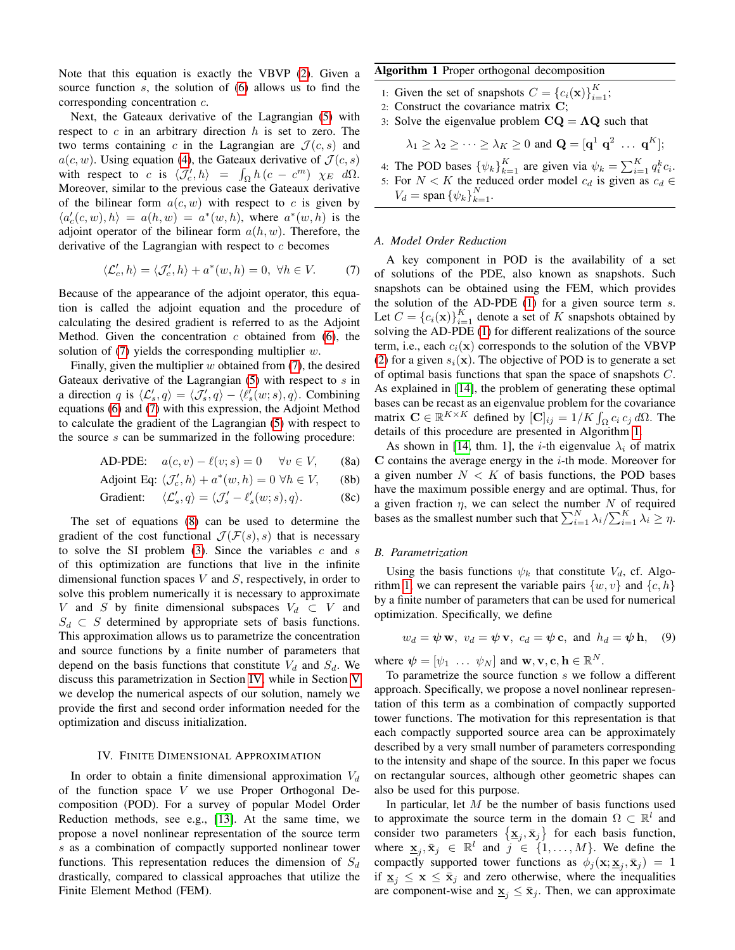Note that this equation is exactly the VBVP [\(2\)](#page-1-6). Given a source function s, the solution of [\(6\)](#page-1-12) allows us to find the corresponding concentration c.

Next, the Gateaux derivative of the Lagrangian [\(5\)](#page-1-10) with respect to  $c$  in an arbitrary direction  $h$  is set to zero. The two terms containing c in the Lagrangian are  $\mathcal{J}(c, s)$  and  $a(c, w)$ . Using equation [\(4\)](#page-1-13), the Gateaux derivative of  $\mathcal{J}(c, s)$ with respect to c is  $\langle \mathcal{J}'_c, h \rangle = \int_{\Omega} h(c - c^m) \chi_E d\Omega$ . Moreover, similar to the previous case the Gateaux derivative of the bilinear form  $a(c, w)$  with respect to c is given by  $\langle a'_c(c, w), h \rangle = a(h, w) = a^*(w, h)$ , where  $a^*(w, h)$  is the adjoint operator of the bilinear form  $a(h, w)$ . Therefore, the derivative of the Lagrangian with respect to  $c$  becomes

<span id="page-2-1"></span>
$$
\langle \mathcal{L}'_c, h \rangle = \langle \mathcal{J}'_c, h \rangle + a^*(w, h) = 0, \ \forall h \in V. \tag{7}
$$

Because of the appearance of the adjoint operator, this equation is called the adjoint equation and the procedure of calculating the desired gradient is referred to as the Adjoint Method. Given the concentration  $c$  obtained from [\(6\)](#page-1-12), the solution of  $(7)$  yields the corresponding multiplier w.

Finally, given the multiplier  $w$  obtained from  $(7)$ , the desired Gateaux derivative of the Lagrangian  $(5)$  with respect to  $s$  in a direction q is  $\langle \mathcal{L}'_s, q \rangle = \langle \mathcal{J}'_s, q \rangle - \langle \ell'_s(w; s), q \rangle$ . Combining equations [\(6\)](#page-1-12) and [\(7\)](#page-2-1) with this expression, the Adjoint Method to calculate the gradient of the Lagrangian [\(5\)](#page-1-10) with respect to the source s can be summarized in the following procedure:

AD-PDE: 
$$
a(c, v) - \ell(v; s) = 0 \quad \forall v \in V,
$$
 (8a)

$$
Adjoint Eq: \langle \mathcal{J}'_c, h \rangle + a^*(w, h) = 0 \,\forall h \in V, \qquad (8b)
$$

Gradient: 
$$
\langle \mathcal{L}'_s, q \rangle = \langle \mathcal{J}'_s - \ell'_s(w; s), q \rangle.
$$
 (8c)

The set of equations [\(8\)](#page-2-2) can be used to determine the gradient of the cost functional  $\mathcal{J}(\mathcal{F}(s), s)$  that is necessary to solve the SI problem  $(3)$ . Since the variables c and s of this optimization are functions that live in the infinite dimensional function spaces  $V$  and  $S$ , respectively, in order to solve this problem numerically it is necessary to approximate V and S by finite dimensional subspaces  $V_d \subset V$  and  $S_d \,\subset S$  determined by appropriate sets of basis functions. This approximation allows us to parametrize the concentration and source functions by a finite number of parameters that depend on the basis functions that constitute  $V_d$  and  $S_d$ . We discuss this parametrization in Section [IV,](#page-2-0) while in Section [V](#page-3-0) we develop the numerical aspects of our solution, namely we provide the first and second order information needed for the optimization and discuss initialization.

## IV. FINITE DIMENSIONAL APPROXIMATION

<span id="page-2-0"></span>In order to obtain a finite dimensional approximation  $V_d$ of the function space  $V$  we use Proper Orthogonal Decomposition (POD). For a survey of popular Model Order Reduction methods, see e.g., [\[13\]](#page-5-13). At the same time, we propose a novel nonlinear representation of the source term s as a combination of compactly supported nonlinear tower functions. This representation reduces the dimension of  $S_d$ drastically, compared to classical approaches that utilize the Finite Element Method (FEM).

# <span id="page-2-3"></span>Algorithm 1 Proper orthogonal decomposition

- 1: Given the set of snapshots  $C = \{c_i(\mathbf{x})\}_{i=1}^K$ ;
- 2: Construct the covariance matrix C;
- 3: Solve the eigenvalue problem  $CQ = \Lambda Q$  such that

$$
\lambda_1 \geq \lambda_2 \geq \cdots \geq \lambda_K \geq 0
$$
 and  $\mathbf{Q} = [\mathbf{q}^1 \ \mathbf{q}^2 \ \ldots \ \mathbf{q}^K];$ 

4: The POD bases  $\{\psi_k\}_{k=1}^K$  are given via  $\psi_k = \sum_{i=1}^K q_i^k c_i$ . 5: For  $N < K$  the reduced order model  $c_d$  is given as  $c_d \in$  $V_d = \text{span} \left\{ \psi_k \right\}_{k=1}^N$ .

### *A. Model Order Reduction*

A key component in POD is the availability of a set of solutions of the PDE, also known as snapshots. Such snapshots can be obtained using the FEM, which provides the solution of the AD-PDE  $(1)$  for a given source term  $s$ . Let  $C = \{c_i(\mathbf{x})\}_{i=1}^K$  denote a set of K snapshots obtained by solving the AD-PDE [\(1\)](#page-1-3) for different realizations of the source term, i.e., each  $c_i(\mathbf{x})$  corresponds to the solution of the VBVP [\(2\)](#page-1-6) for a given  $s_i(\mathbf{x})$ . The objective of POD is to generate a set of optimal basis functions that span the space of snapshots  $C$ . As explained in [\[14\]](#page-5-14), the problem of generating these optimal bases can be recast as an eigenvalue problem for the covariance matrix  $\mathbf{C} \in \mathbb{R}^{K \times K}$  defined by  $[\mathbf{C}]_{ij} = 1/K \int_{\Omega} c_i c_j d\Omega$ . The details of this procedure are presented in Algorithm [1.](#page-2-3)

<span id="page-2-7"></span><span id="page-2-6"></span><span id="page-2-5"></span><span id="page-2-2"></span>As shown in [\[14,](#page-5-14) thm. 1], the *i*-th eigenvalue  $\lambda_i$  of matrix  $C$  contains the average energy in the  $i$ -th mode. Moreover for a given number  $N < K$  of basis functions, the POD bases have the maximum possible energy and are optimal. Thus, for a given fraction  $\eta$ , we can select the number N of required bases as the smallest number such that  $\sum_{i=1}^{N} \lambda_i / \sum_{i=1}^{K} \lambda_i \ge \eta$ .

# *B. Parametrization*

Using the basis functions  $\psi_k$  that constitute  $V_d$ , cf. Algo-rithm [1,](#page-2-3) we can represent the variable pairs  $\{w, v\}$  and  $\{c, h\}$ by a finite number of parameters that can be used for numerical optimization. Specifically, we define

<span id="page-2-4"></span>
$$
w_d = \psi \mathbf{w}, v_d = \psi \mathbf{v}, c_d = \psi \mathbf{c}, \text{ and } h_d = \psi \mathbf{h}, (9)
$$

where  $\mathbf{\psi} = [\psi_1 \dots \psi_N]$  and  $\mathbf{w}, \mathbf{v}, \mathbf{c}, \mathbf{h} \in \mathbb{R}^N$ .

To parametrize the source function s we follow a different approach. Specifically, we propose a novel nonlinear representation of this term as a combination of compactly supported tower functions. The motivation for this representation is that each compactly supported source area can be approximately described by a very small number of parameters corresponding to the intensity and shape of the source. In this paper we focus on rectangular sources, although other geometric shapes can also be used for this purpose.

In particular, let  $M$  be the number of basis functions used to approximate the source term in the domain  $\Omega \subset \mathbb{R}^l$  and consider two parameters  $\{\mathbf x_j, \bar{\mathbf x}_j\}$  for each basis function, where  $\underline{\mathbf{x}}_j, \overline{\mathbf{x}}_j \in \mathbb{R}^l$  and  $j \in \{1, ..., M\}$ . We define the compactly supported tower functions as  $\phi_j(\mathbf{x}; \mathbf{\underline{x}}_j, \bar{\mathbf{x}}_j) = 1$ if  $\underline{\mathbf{x}}_j \leq \mathbf{x} \leq \overline{\mathbf{x}}_j$  and zero otherwise, where the inequalities are component-wise and  $\underline{\mathbf{x}}_j \leq \overline{\mathbf{x}}_j$ . Then, we can approximate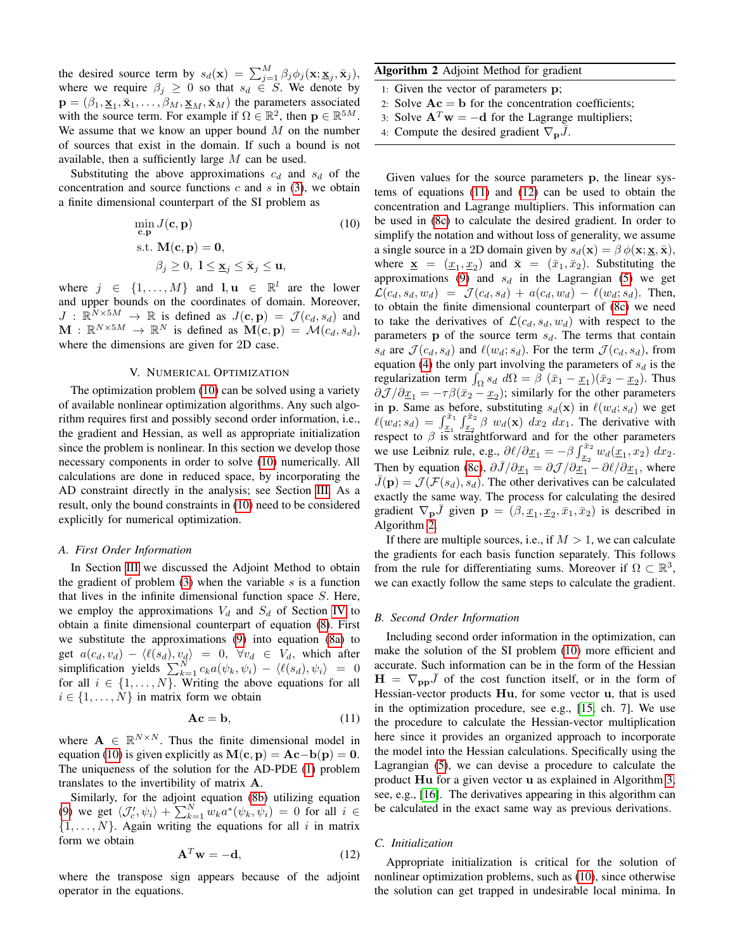the desired source term by  $s_d(\mathbf{x}) = \sum_{j=1}^{M} \beta_j \phi_j(\mathbf{x}; \mathbf{\underline{x}}_j, \bar{\mathbf{x}}_j)$ , where we require  $\beta_j \geq 0$  so that  $s_d \in S$ . We denote by  $\mathbf{p} = (\beta_1, \mathbf{x}_1, \bar{\mathbf{x}}_1, \dots, \beta_M, \mathbf{x}_M, \bar{\mathbf{x}}_M)$  the parameters associated with the source term. For example if  $\Omega \in \mathbb{R}^2$ , then  $\mathbf{p} \in \mathbb{R}^{5M}$ . We assume that we know an upper bound  $M$  on the number of sources that exist in the domain. If such a bound is not available, then a sufficiently large  $M$  can be used.

Substituting the above approximations  $c_d$  and  $s_d$  of the concentration and source functions  $c$  and  $s$  in [\(3\)](#page-1-8), we obtain a finite dimensional counterpart of the SI problem as

$$
\min_{\mathbf{c}, \mathbf{p}} J(\mathbf{c}, \mathbf{p})
$$
\n
$$
\text{s.t. } \mathbf{M}(\mathbf{c}, \mathbf{p}) = \mathbf{0},
$$
\n
$$
\beta_j \ge 0, \ 1 \le \mathbf{x}_j \le \bar{\mathbf{x}}_j \le \mathbf{u},
$$
\n(10)

where  $j \in \{1, ..., M\}$  and  $l, u \in \mathbb{R}^l$  are the lower and upper bounds on the coordinates of domain. Moreover,  $J : \mathbb{R}^{\tilde{N} \times 5M} \to \mathbb{R}$  is defined as  $J(\mathbf{c}, \mathbf{p}) = \mathcal{J}(c_d, s_d)$  and  $\mathbf{M}$  :  $\mathbb{R}^{N \times 5M} \to \mathbb{R}^N$  is defined as  $\mathbf{M}(\mathbf{c}, \mathbf{p}) = \mathcal{M}(c_d, s_d)$ , where the dimensions are given for 2D case.

## V. NUMERICAL OPTIMIZATION

<span id="page-3-0"></span>The optimization problem [\(10\)](#page-3-1) can be solved using a variety of available nonlinear optimization algorithms. Any such algorithm requires first and possibly second order information, i.e., the gradient and Hessian, as well as appropriate initialization since the problem is nonlinear. In this section we develop those necessary components in order to solve [\(10\)](#page-3-1) numerically. All calculations are done in reduced space, by incorporating the AD constraint directly in the analysis; see Section [III.](#page-1-1) As a result, only the bound constraints in [\(10\)](#page-3-1) need to be considered explicitly for numerical optimization.

#### *A. First Order Information*

In Section [III](#page-1-1) we discussed the Adjoint Method to obtain the gradient of problem  $(3)$  when the variable s is a function that lives in the infinite dimensional function space  $S$ . Here, we employ the approximations  $V_d$  and  $S_d$  of Section [IV](#page-2-0) to obtain a finite dimensional counterpart of equation [\(8\)](#page-2-2). First we substitute the approximations [\(9\)](#page-2-4) into equation [\(8a\)](#page-2-5) to get  $a(c_d, v_d) - \langle \ell(s_d), v_d \rangle = 0, \forall v_d \in V_d$ , which after simplification yields  $\sum_{k=1}^{N'} c_k a(\psi_k, \psi_i) - \langle \ell(s_d), \psi_i \rangle = 0$ for all  $i \in \{1, \ldots, N\}$ . Writing the above equations for all  $i \in \{1, \ldots, N\}$  in matrix form we obtain

<span id="page-3-2"></span>
$$
Ac = b,\tag{11}
$$

where  $A \in \mathbb{R}^{N \times N}$ . Thus the finite dimensional model in equation [\(10\)](#page-3-1) is given explicitly as  $M(c, p) = Ac-b(p) = 0$ . The uniqueness of the solution for the AD-PDE [\(1\)](#page-1-3) problem translates to the invertibility of matrix A.

Similarly, for the adjoint equation [\(8b\)](#page-2-6) utilizing equation [\(9\)](#page-2-4) we get  $\langle \mathcal{J}'_c, \psi_i \rangle + \sum_{k=1}^N w_k a^*(\psi_k, \psi_i) = 0$  for all  $i \in$  $\{1, \ldots, N\}$ . Again writing the equations for all i in matrix form we obtain

<span id="page-3-3"></span>
$$
\mathbf{A}^T \mathbf{w} = -\mathbf{d},\tag{12}
$$

where the transpose sign appears because of the adjoint operator in the equations.

# <span id="page-3-4"></span>Algorithm 2 Adjoint Method for gradient

- 1: Given the vector of parameters p;
- 2: Solve  $Ac = b$  for the concentration coefficients;
- 3: Solve  $A^T w = -d$  for the Lagrange multipliers;
- 4: Compute the desired gradient  $\nabla_{\mathbf{p}}\bar{J}$ .

<span id="page-3-1"></span>Given values for the source parameters p, the linear systems of equations [\(11\)](#page-3-2) and [\(12\)](#page-3-3) can be used to obtain the concentration and Lagrange multipliers. This information can be used in [\(8c\)](#page-2-7) to calculate the desired gradient. In order to simplify the notation and without loss of generality, we assume a single source in a 2D domain given by  $s_d(\mathbf{x}) = \beta \phi(\mathbf{x}; \mathbf{x}, \bar{\mathbf{x}})$ , where  $\underline{\mathbf{x}} = (\underline{x}_1, \underline{x}_2)$  and  $\overline{\mathbf{x}} = (\overline{x}_1, \overline{x}_2)$ . Substituting the approximations [\(9\)](#page-2-4) and  $s_d$  in the Lagrangian [\(5\)](#page-1-10) we get  $\mathcal{L}(c_d, s_d, w_d) = \mathcal{J}(c_d, s_d) + a(c_d, w_d) - \ell(w_d; s_d)$ . Then, to obtain the finite dimensional counterpart of [\(8c\)](#page-2-7) we need to take the derivatives of  $\mathcal{L}(c_d, s_d, w_d)$  with respect to the parameters  $p$  of the source term  $s_d$ . The terms that contain  $s_d$  are  $\mathcal{J}(c_d, s_d)$  and  $\ell(w_d; s_d)$ . For the term  $\mathcal{J}(c_d, s_d)$ , from equation [\(4\)](#page-1-13) the only part involving the parameters of  $s_d$  is the regularization term  $\int_{\Omega} s_d d\Omega = \beta (\bar{x}_1 - \underline{x}_1)(\bar{x}_2 - \underline{x}_2)$ . Thus  $\partial \mathcal{J}/\partial \underline{x}_1 = -\tau \beta (\bar{x}_2 - \underline{x}_2)$ ; similarly for the other parameters in p. Same as before, substituting  $s_d(\mathbf{x})$  in  $\ell(w_d; s_d)$  we get  $\ell(w_d; s_d) = \int_{\underline{x}_1}^{\overline{x}_1} \int_{\underline{x}_2}^{\overline{x}_2} \beta w_d(\mathbf{x}) dx_2 dx_1$ . The derivative with respect to  $\beta$  is straightforward and for the other parameters we use Leibniz rule, e.g.,  $\frac{\partial \ell}{\partial \underline{x}_1} = -\beta \int_{\underline{x}_2}^{\overline{x}_2} w_d(\underline{x}_1, x_2) dx_2$ . Then by equation [\(8c\)](#page-2-7),  $\partial \bar{J}/\partial \underline{x}_1 = \partial \mathcal{J}/\partial \underline{x}_1 - \partial \ell/\partial \underline{x}_1$ , where  $\bar{J}(\mathbf{p}) = \mathcal{J}(\mathcal{F}(s_d), s_d)$ . The other derivatives can be calculated exactly the same way. The process for calculating the desired gradient  $\nabla_{\mathbf{p}} \bar{J}$  given  $\mathbf{p} = (\beta, \underline{x}_1, \underline{x}_2, \bar{x}_1, \bar{x}_2)$  is described in Algorithm [2.](#page-3-4)

If there are multiple sources, i.e., if  $M > 1$ , we can calculate the gradients for each basis function separately. This follows from the rule for differentiating sums. Moreover if  $\Omega \subset \mathbb{R}^3$ , we can exactly follow the same steps to calculate the gradient.

# *B. Second Order Information*

Including second order information in the optimization, can make the solution of the SI problem [\(10\)](#page-3-1) more efficient and accurate. Such information can be in the form of the Hessian  $H = \nabla_{\mathbf{p} \mathbf{p}} J$  of the cost function itself, or in the form of Hessian-vector products Hu, for some vector u, that is used in the optimization procedure, see e.g., [\[15,](#page-5-15) ch. 7]. We use the procedure to calculate the Hessian-vector multiplication here since it provides an organized approach to incorporate the model into the Hessian calculations. Specifically using the Lagrangian [\(5\)](#page-1-10), we can devise a procedure to calculate the product Hu for a given vector u as explained in Algorithm [3,](#page-4-1) see, e.g., [\[16\]](#page-5-16). The derivatives appearing in this algorithm can be calculated in the exact same way as previous derivations.

# <span id="page-3-5"></span>*C. Initialization*

Appropriate initialization is critical for the solution of nonlinear optimization problems, such as [\(10\)](#page-3-1), since otherwise the solution can get trapped in undesirable local minima. In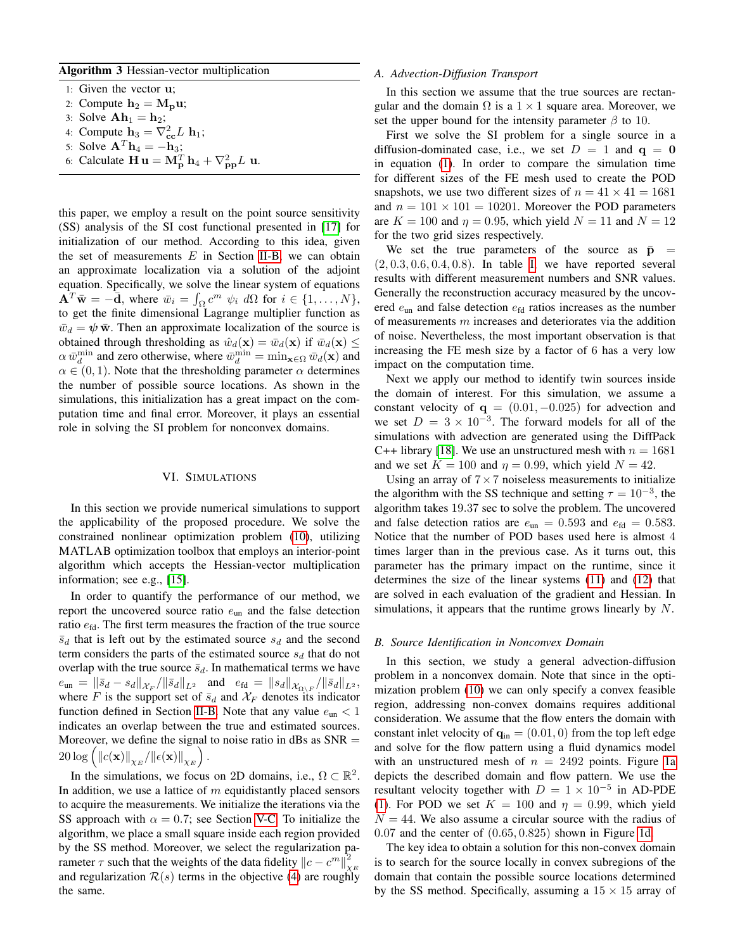# <span id="page-4-1"></span>Algorithm 3 Hessian-vector multiplication

1: Given the vector u;

- 2: Compute  $h_2 = M_p u$ ;
- 3: Solve  $\mathbf{Ah}_1 = \mathbf{h}_2$ ;
- 4: Compute  $\mathbf{h}_3 = \nabla_{\mathbf{cc}}^2 L \mathbf{h}_1$ ;
- 5: Solve  $\mathbf{A}^T \mathbf{h}_4 = -\mathbf{h}_3$ ;
- 6: Calculate  $\mathbf{H} \mathbf{u} = \mathbf{M}_{\mathbf{p}}^T \mathbf{h}_4 + \nabla_{\mathbf{p}\mathbf{p}}^2 L \mathbf{u}$ .

this paper, we employ a result on the point source sensitivity (SS) analysis of the SI cost functional presented in [\[17\]](#page-5-17) for initialization of our method. According to this idea, given the set of measurements  $E$  in Section [II-B,](#page-1-14) we can obtain an approximate localization via a solution of the adjoint equation. Specifically, we solve the linear system of equations  $\mathbf{A}^T \bar{\mathbf{w}} = -\bar{\mathbf{d}}$ , where  $\bar{w}_i = \int_{\Omega} c^m \psi_i \ d\Omega$  for  $i \in \{1, ..., N\}$ , to get the finite dimensional Lagrange multiplier function as  $\bar{w}_d = \psi \bar{\mathbf{w}}$ . Then an approximate localization of the source is obtained through thresholding as  $\hat{w}_d(\mathbf{x}) = \bar{w}_d(\mathbf{x})$  if  $\bar{w}_d(\mathbf{x}) \leq$  $\alpha \bar{w}_d^{\text{min}}$  and zero otherwise, where  $\bar{w}_d^{\text{min}} = \min_{\mathbf{x} \in \Omega} \bar{w}_d(\mathbf{x})$  and  $\alpha \in (0, 1)$ . Note that the thresholding parameter  $\alpha$  determines the number of possible source locations. As shown in the simulations, this initialization has a great impact on the computation time and final error. Moreover, it plays an essential role in solving the SI problem for nonconvex domains.

## VI. SIMULATIONS

<span id="page-4-0"></span>In this section we provide numerical simulations to support the applicability of the proposed procedure. We solve the constrained nonlinear optimization problem [\(10\)](#page-3-1), utilizing MATLAB optimization toolbox that employs an interior-point algorithm which accepts the Hessian-vector multiplication information; see e.g., [\[15\]](#page-5-15).

In order to quantify the performance of our method, we report the uncovered source ratio  $e_{\text{un}}$  and the false detection ratio  $e_{\text{fd}}$ . The first term measures the fraction of the true source  $\bar{s}_d$  that is left out by the estimated source  $s_d$  and the second term considers the parts of the estimated source  $s_d$  that do not overlap with the true source  $\bar{s}_d$ . In mathematical terms we have  $e_{\rm un} = \|\bar{s}_d - s_d\|_{\mathcal{X}_F}/\|\bar{s}_d\|_{L^2}$  and  $e_{\rm fd} = \|s_d\|_{\mathcal{X}_{\Omega \setminus F}}/\|\bar{s}_d\|_{L^2}$ , where F is the support set of  $\bar{s}_d$  and  $\mathcal{X}_F$  denotes its indicator function defined in Section [II-B.](#page-1-14) Note that any value  $e_{\rm un} < 1$ indicates an overlap between the true and estimated sources. Moreover, we define the signal to noise ratio in dBs as  $SNR =$  $20 \log \left( \left\Vert c(\textbf{x}) \right\Vert_{\chi_E} / \left\Vert \epsilon(\textbf{x}) \right\Vert_{\chi_E} \right).$ 

In the simulations, we focus on 2D domains, i.e.,  $\Omega \subset \mathbb{R}^2$ . In addition, we use a lattice of  $m$  equidistantly placed sensors to acquire the measurements. We initialize the iterations via the SS approach with  $\alpha = 0.7$ ; see Section [V-C.](#page-3-5) To initialize the algorithm, we place a small square inside each region provided by the SS method. Moreover, we select the regularization parameter  $\tau$  such that the weights of the data fidelity  $||c - c^m||^2_{\chi_E}$ and regularization  $\mathcal{R}(s)$  terms in the objective [\(4\)](#page-1-13) are roughly the same.

#### *A. Advection-Diffusion Transport*

In this section we assume that the true sources are rectangular and the domain  $\Omega$  is a  $1 \times 1$  square area. Moreover, we set the upper bound for the intensity parameter  $\beta$  to 10.

First we solve the SI problem for a single source in a diffusion-dominated case, i.e., we set  $D = 1$  and  $q = 0$ in equation [\(1\)](#page-1-3). In order to compare the simulation time for different sizes of the FE mesh used to create the POD snapshots, we use two different sizes of  $n = 41 \times 41 = 1681$ and  $n = 101 \times 101 = 10201$ . Moreover the POD parameters are  $K = 100$  and  $\eta = 0.95$ , which yield  $N = 11$  and  $N = 12$ for the two grid sizes respectively.

We set the true parameters of the source as  $\bar{p}$  =  $(2, 0.3, 0.6, 0.4, 0.8)$ . In table [I,](#page-5-18) we have reported several results with different measurement numbers and SNR values. Generally the reconstruction accuracy measured by the uncovered  $e_{\rm un}$  and false detection  $e_{\rm fd}$  ratios increases as the number of measurements  $m$  increases and deteriorates via the addition of noise. Nevertheless, the most important observation is that increasing the FE mesh size by a factor of 6 has a very low impact on the computation time.

Next we apply our method to identify twin sources inside the domain of interest. For this simulation, we assume a constant velocity of  $q = (0.01, -0.025)$  for advection and we set  $D = 3 \times 10^{-3}$ . The forward models for all of the simulations with advection are generated using the DiffPack C++ library [\[18\]](#page-5-19). We use an unstructured mesh with  $n = 1681$ and we set  $K = 100$  and  $\eta = 0.99$ , which yield  $N = 42$ .

Using an array of  $7 \times 7$  noiseless measurements to initialize the algorithm with the SS technique and setting  $\tau = 10^{-3}$ , the algorithm takes 19.37 sec to solve the problem. The uncovered and false detection ratios are  $e_{\rm un} = 0.593$  and  $e_{\rm fd} = 0.583$ . Notice that the number of POD bases used here is almost 4 times larger than in the previous case. As it turns out, this parameter has the primary impact on the runtime, since it determines the size of the linear systems [\(11\)](#page-3-2) and [\(12\)](#page-3-3) that are solved in each evaluation of the gradient and Hessian. In simulations, it appears that the runtime grows linearly by  $N$ .

#### *B. Source Identification in Nonconvex Domain*

In this section, we study a general advection-diffusion problem in a nonconvex domain. Note that since in the optimization problem [\(10\)](#page-3-1) we can only specify a convex feasible region, addressing non-convex domains requires additional consideration. We assume that the flow enters the domain with constant inlet velocity of  $\mathbf{q}_{in} = (0.01, 0)$  from the top left edge and solve for the flow pattern using a fluid dynamics model with an unstructured mesh of  $n = 2492$  points. Figure [1a](#page-5-20) depicts the described domain and flow pattern. We use the resultant velocity together with  $D = 1 \times 10^{-5}$  in AD-PDE [\(1\)](#page-1-3). For POD we set  $K = 100$  and  $\eta = 0.99$ , which yield  $N = 44$ . We also assume a circular source with the radius of  $0.07$  and the center of  $(0.65, 0.825)$  shown in Figure [1d.](#page-5-20)

The key idea to obtain a solution for this non-convex domain is to search for the source locally in convex subregions of the domain that contain the possible source locations determined by the SS method. Specifically, assuming a  $15 \times 15$  array of